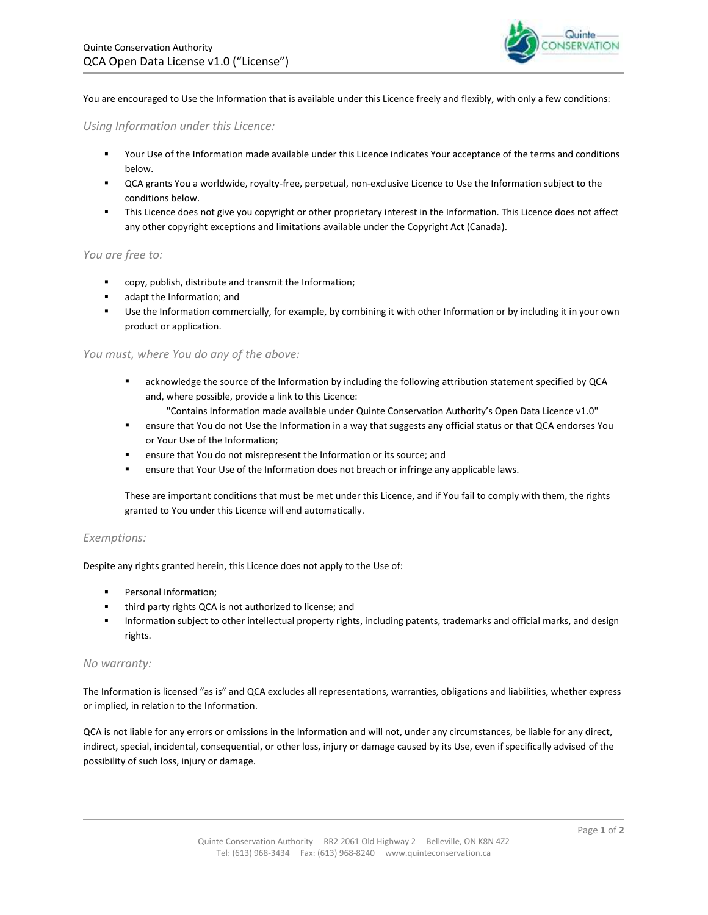

You are encouraged to Use the Information that is available under this Licence freely and flexibly, with only a few conditions:

# *Using Information under this Licence:*

- Your Use of the Information made available under this Licence indicates Your acceptance of the terms and conditions below.
- QCA grants You a worldwide, royalty-free, perpetual, non-exclusive Licence to Use the Information subject to the conditions below.
- **This Licence does not give you copyright or other proprietary interest in the Information. This Licence does not affect** any other copyright exceptions and limitations available under the Copyright Act (Canada).

# *You are free to:*

- copy, publish, distribute and transmit the Information;
- adapt the Information; and
- Use the Information commercially, for example, by combining it with other Information or by including it in your own product or application.

## *You must, where You do any of the above:*

- acknowledge the source of the Information by including the following attribution statement specified by QCA and, where possible, provide a link to this Licence:
	- "Contains Information made available under Quinte Conservation Authority's Open Data Licence v1.0"
- ensure that You do not Use the Information in a way that suggests any official status or that QCA endorses You or Your Use of the Information;
- ensure that You do not misrepresent the Information or its source; and
- ensure that Your Use of the Information does not breach or infringe any applicable laws.

These are important conditions that must be met under this Licence, and if You fail to comply with them, the rights granted to You under this Licence will end automatically.

## *Exemptions:*

Despite any rights granted herein, this Licence does not apply to the Use of:

- Personal Information;
- **third party rights QCA is not authorized to license; and**
- Information subject to other intellectual property rights, including patents, trademarks and official marks, and design rights.

## *No warranty:*

The Information is licensed "as is" and QCA excludes all representations, warranties, obligations and liabilities, whether express or implied, in relation to the Information.

QCA is not liable for any errors or omissions in the Information and will not, under any circumstances, be liable for any direct, indirect, special, incidental, consequential, or other loss, injury or damage caused by its Use, even if specifically advised of the possibility of such loss, injury or damage.